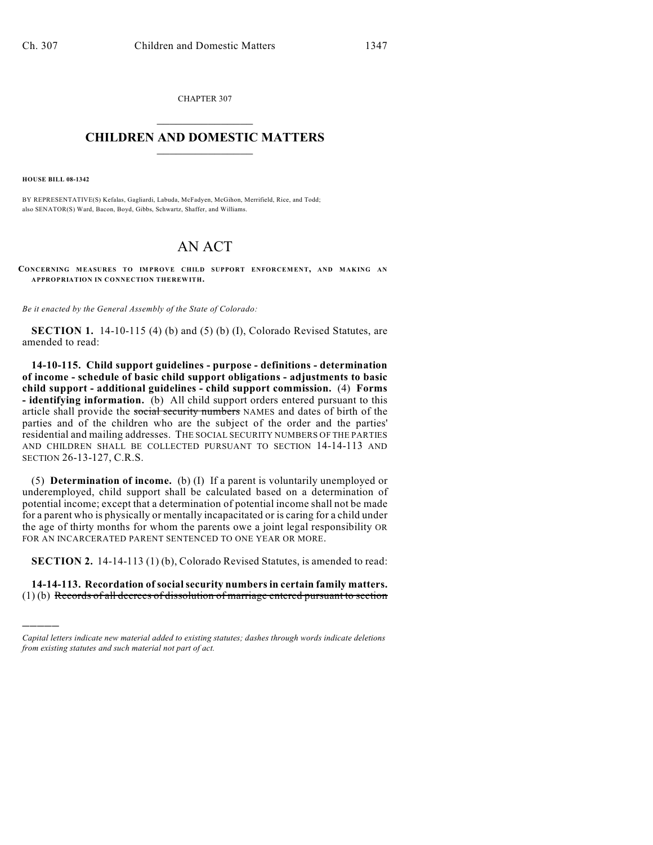CHAPTER 307  $\overline{\phantom{a}}$  . The set of the set of the set of the set of the set of the set of the set of the set of the set of the set of the set of the set of the set of the set of the set of the set of the set of the set of the set o

## **CHILDREN AND DOMESTIC MATTERS**  $\_$

**HOUSE BILL 08-1342**

)))))

BY REPRESENTATIVE(S) Kefalas, Gagliardi, Labuda, McFadyen, McGihon, Merrifield, Rice, and Todd; also SENATOR(S) Ward, Bacon, Boyd, Gibbs, Schwartz, Shaffer, and Williams.

## AN ACT

**CONCERNING MEASURES TO IM PROVE CHILD SUPPORT ENFORCEMENT, AND MAKING AN APPROPRIATION IN CONNECTION THEREWITH.**

*Be it enacted by the General Assembly of the State of Colorado:*

**SECTION 1.** 14-10-115 (4) (b) and (5) (b) (I), Colorado Revised Statutes, are amended to read:

**14-10-115. Child support guidelines - purpose - definitions - determination of income - schedule of basic child support obligations - adjustments to basic child support - additional guidelines - child support commission.** (4) **Forms - identifying information.** (b) All child support orders entered pursuant to this article shall provide the social security numbers NAMES and dates of birth of the parties and of the children who are the subject of the order and the parties' residential and mailing addresses. THE SOCIAL SECURITY NUMBERS OF THE PARTIES AND CHILDREN SHALL BE COLLECTED PURSUANT TO SECTION 14-14-113 AND SECTION 26-13-127, C.R.S.

(5) **Determination of income.** (b) (I) If a parent is voluntarily unemployed or underemployed, child support shall be calculated based on a determination of potential income; except that a determination of potential income shall not be made for a parent who is physically or mentally incapacitated or is caring for a child under the age of thirty months for whom the parents owe a joint legal responsibility OR FOR AN INCARCERATED PARENT SENTENCED TO ONE YEAR OR MORE.

**SECTION 2.** 14-14-113 (1) (b), Colorado Revised Statutes, is amended to read:

**14-14-113. Recordation of social security numbers in certain family matters.** (1) (b) Records of all decrees of dissolution of marriage entered pursuant to section

*Capital letters indicate new material added to existing statutes; dashes through words indicate deletions from existing statutes and such material not part of act.*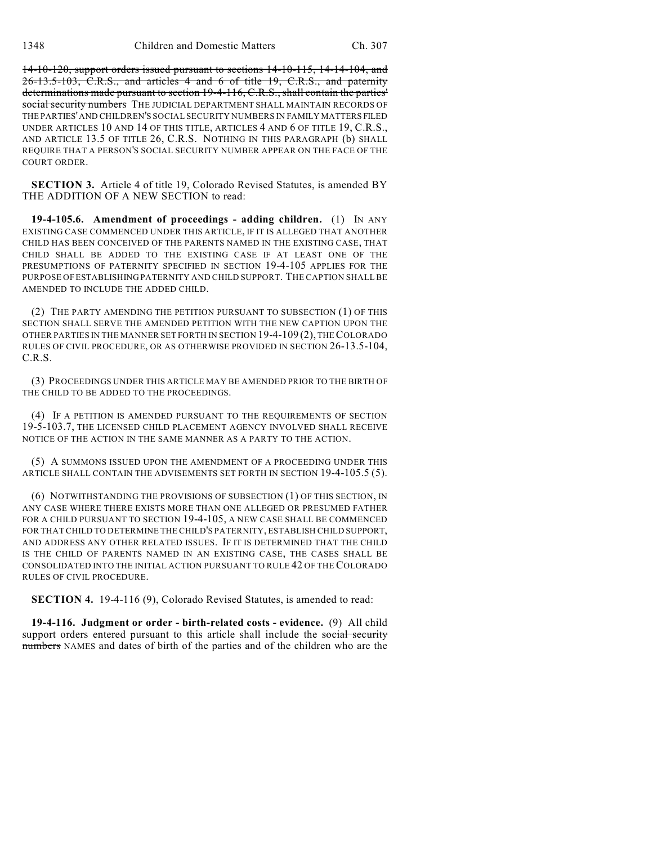14-10-120, support orders issued pursuant to sections 14-10-115, 14-14-104, and 26-13.5-103, C.R.S., and articles 4 and 6 of title 19, C.R.S., and paternity determinations made pursuant to section 19-4-116, C.R.S., shall contain the parties' social security numbers THE JUDICIAL DEPARTMENT SHALL MAINTAIN RECORDS OF THE PARTIES' AND CHILDREN'S SOCIAL SECURITY NUMBERS IN FAMILY MATTERS FILED UNDER ARTICLES 10 AND 14 OF THIS TITLE, ARTICLES 4 AND 6 OF TITLE 19, C.R.S., AND ARTICLE 13.5 OF TITLE 26, C.R.S. NOTHING IN THIS PARAGRAPH (b) SHALL REQUIRE THAT A PERSON'S SOCIAL SECURITY NUMBER APPEAR ON THE FACE OF THE COURT ORDER.

**SECTION 3.** Article 4 of title 19, Colorado Revised Statutes, is amended BY THE ADDITION OF A NEW SECTION to read:

**19-4-105.6. Amendment of proceedings - adding children.** (1) IN ANY EXISTING CASE COMMENCED UNDER THIS ARTICLE, IF IT IS ALLEGED THAT ANOTHER CHILD HAS BEEN CONCEIVED OF THE PARENTS NAMED IN THE EXISTING CASE, THAT CHILD SHALL BE ADDED TO THE EXISTING CASE IF AT LEAST ONE OF THE PRESUMPTIONS OF PATERNITY SPECIFIED IN SECTION 19-4-105 APPLIES FOR THE PURPOSE OF ESTABLISHING PATERNITY AND CHILD SUPPORT. THE CAPTION SHALL BE AMENDED TO INCLUDE THE ADDED CHILD.

(2) THE PARTY AMENDING THE PETITION PURSUANT TO SUBSECTION (1) OF THIS SECTION SHALL SERVE THE AMENDED PETITION WITH THE NEW CAPTION UPON THE OTHER PARTIES IN THE MANNER SET FORTH IN SECTION 19-4-109 (2), THE COLORADO RULES OF CIVIL PROCEDURE, OR AS OTHERWISE PROVIDED IN SECTION 26-13.5-104, C.R.S.

(3) PROCEEDINGS UNDER THIS ARTICLE MAY BE AMENDED PRIOR TO THE BIRTH OF THE CHILD TO BE ADDED TO THE PROCEEDINGS.

(4) IF A PETITION IS AMENDED PURSUANT TO THE REQUIREMENTS OF SECTION 19-5-103.7, THE LICENSED CHILD PLACEMENT AGENCY INVOLVED SHALL RECEIVE NOTICE OF THE ACTION IN THE SAME MANNER AS A PARTY TO THE ACTION.

(5) A SUMMONS ISSUED UPON THE AMENDMENT OF A PROCEEDING UNDER THIS ARTICLE SHALL CONTAIN THE ADVISEMENTS SET FORTH IN SECTION 19-4-105.5 (5).

(6) NOTWITHSTANDING THE PROVISIONS OF SUBSECTION (1) OF THIS SECTION, IN ANY CASE WHERE THERE EXISTS MORE THAN ONE ALLEGED OR PRESUMED FATHER FOR A CHILD PURSUANT TO SECTION 19-4-105, A NEW CASE SHALL BE COMMENCED FOR THAT CHILD TO DETERMINE THE CHILD'S PATERNITY, ESTABLISH CHILD SUPPORT, AND ADDRESS ANY OTHER RELATED ISSUES. IF IT IS DETERMINED THAT THE CHILD IS THE CHILD OF PARENTS NAMED IN AN EXISTING CASE, THE CASES SHALL BE CONSOLIDATED INTO THE INITIAL ACTION PURSUANT TO RULE 42 OF THE COLORADO RULES OF CIVIL PROCEDURE.

**SECTION 4.** 19-4-116 (9), Colorado Revised Statutes, is amended to read:

**19-4-116. Judgment or order - birth-related costs - evidence.** (9) All child support orders entered pursuant to this article shall include the social security numbers NAMES and dates of birth of the parties and of the children who are the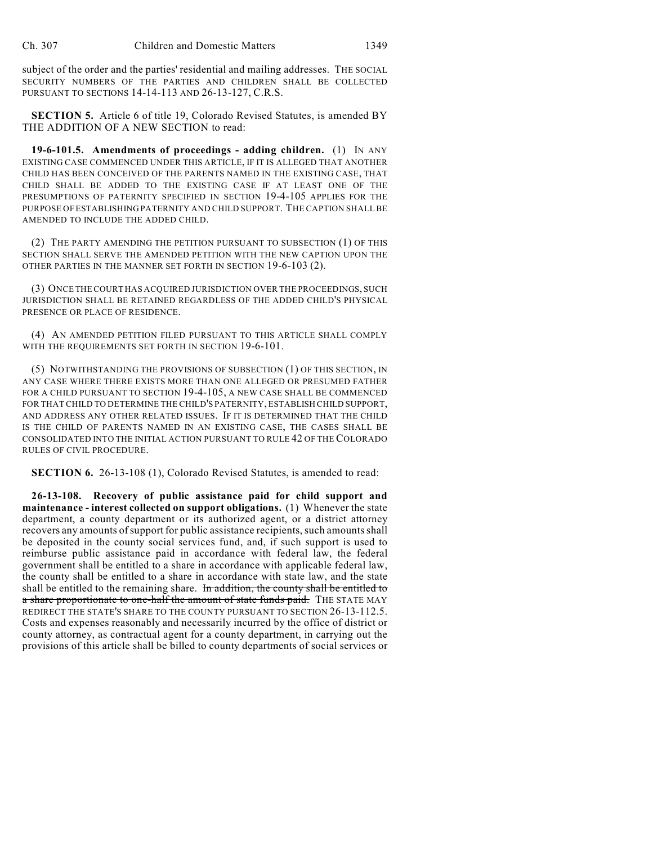subject of the order and the parties' residential and mailing addresses. THE SOCIAL SECURITY NUMBERS OF THE PARTIES AND CHILDREN SHALL BE COLLECTED PURSUANT TO SECTIONS 14-14-113 AND 26-13-127, C.R.S.

**SECTION 5.** Article 6 of title 19, Colorado Revised Statutes, is amended BY THE ADDITION OF A NEW SECTION to read:

**19-6-101.5. Amendments of proceedings - adding children.** (1) IN ANY EXISTING CASE COMMENCED UNDER THIS ARTICLE, IF IT IS ALLEGED THAT ANOTHER CHILD HAS BEEN CONCEIVED OF THE PARENTS NAMED IN THE EXISTING CASE, THAT CHILD SHALL BE ADDED TO THE EXISTING CASE IF AT LEAST ONE OF THE PRESUMPTIONS OF PATERNITY SPECIFIED IN SECTION 19-4-105 APPLIES FOR THE PURPOSE OF ESTABLISHING PATERNITY AND CHILD SUPPORT. THE CAPTION SHALL BE AMENDED TO INCLUDE THE ADDED CHILD.

(2) THE PARTY AMENDING THE PETITION PURSUANT TO SUBSECTION (1) OF THIS SECTION SHALL SERVE THE AMENDED PETITION WITH THE NEW CAPTION UPON THE OTHER PARTIES IN THE MANNER SET FORTH IN SECTION 19-6-103 (2).

(3) ONCE THE COURT HAS ACQUIRED JURISDICTION OVER THE PROCEEDINGS, SUCH JURISDICTION SHALL BE RETAINED REGARDLESS OF THE ADDED CHILD'S PHYSICAL PRESENCE OR PLACE OF RESIDENCE.

(4) AN AMENDED PETITION FILED PURSUANT TO THIS ARTICLE SHALL COMPLY WITH THE REQUIREMENTS SET FORTH IN SECTION 19-6-101.

(5) NOTWITHSTANDING THE PROVISIONS OF SUBSECTION (1) OF THIS SECTION, IN ANY CASE WHERE THERE EXISTS MORE THAN ONE ALLEGED OR PRESUMED FATHER FOR A CHILD PURSUANT TO SECTION 19-4-105, A NEW CASE SHALL BE COMMENCED FOR THAT CHILD TO DETERMINE THE CHILD'S PATERNITY, ESTABLISH CHILD SUPPORT, AND ADDRESS ANY OTHER RELATED ISSUES. IF IT IS DETERMINED THAT THE CHILD IS THE CHILD OF PARENTS NAMED IN AN EXISTING CASE, THE CASES SHALL BE CONSOLIDATED INTO THE INITIAL ACTION PURSUANT TO RULE 42 OF THE COLORADO RULES OF CIVIL PROCEDURE.

**SECTION 6.** 26-13-108 (1), Colorado Revised Statutes, is amended to read:

**26-13-108. Recovery of public assistance paid for child support and maintenance - interest collected on support obligations.** (1) Whenever the state department, a county department or its authorized agent, or a district attorney recovers any amounts of support for public assistance recipients, such amounts shall be deposited in the county social services fund, and, if such support is used to reimburse public assistance paid in accordance with federal law, the federal government shall be entitled to a share in accordance with applicable federal law, the county shall be entitled to a share in accordance with state law, and the state shall be entitled to the remaining share. In addition, the county shall be entitled to a share proportionate to one-half the amount of state funds paid. THE STATE MAY REDIRECT THE STATE'S SHARE TO THE COUNTY PURSUANT TO SECTION 26-13-112.5. Costs and expenses reasonably and necessarily incurred by the office of district or county attorney, as contractual agent for a county department, in carrying out the provisions of this article shall be billed to county departments of social services or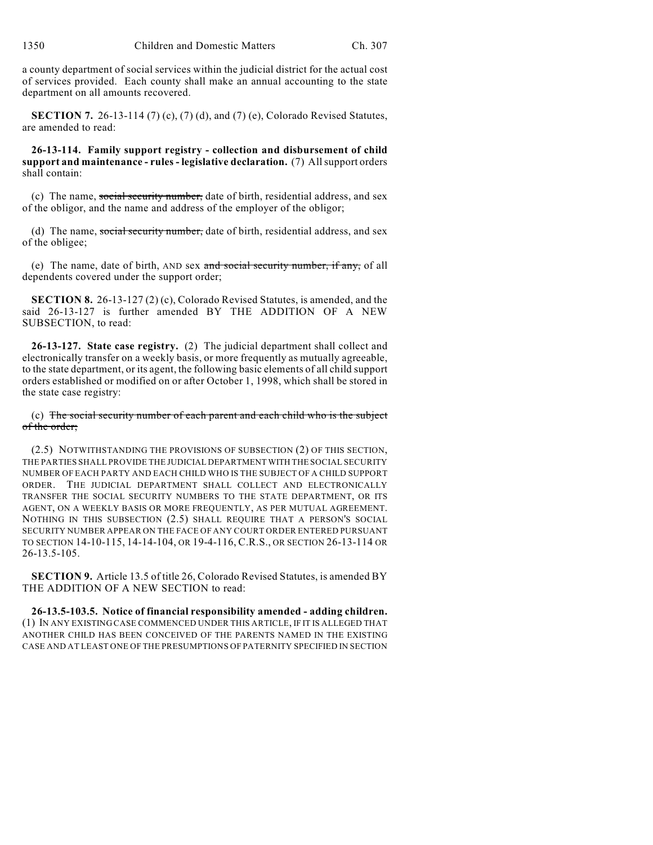a county department of social services within the judicial district for the actual cost of services provided. Each county shall make an annual accounting to the state department on all amounts recovered.

**SECTION 7.** 26-13-114 (7) (c), (7) (d), and (7) (e), Colorado Revised Statutes, are amended to read:

**26-13-114. Family support registry - collection and disbursement of child support and maintenance - rules - legislative declaration.** (7) All support orders shall contain:

(c) The name, social security number, date of birth, residential address, and sex of the obligor, and the name and address of the employer of the obligor;

(d) The name, social security number, date of birth, residential address, and sex of the obligee;

(e) The name, date of birth, AND sex  $\alpha$ nd social security number, if any, of all dependents covered under the support order;

**SECTION 8.** 26-13-127 (2) (c), Colorado Revised Statutes, is amended, and the said 26-13-127 is further amended BY THE ADDITION OF A NEW SUBSECTION, to read:

**26-13-127. State case registry.** (2) The judicial department shall collect and electronically transfer on a weekly basis, or more frequently as mutually agreeable, to the state department, or its agent, the following basic elements of all child support orders established or modified on or after October 1, 1998, which shall be stored in the state case registry:

(c) The social security number of each parent and each child who is the subject of the order;

(2.5) NOTWITHSTANDING THE PROVISIONS OF SUBSECTION (2) OF THIS SECTION, THE PARTIES SHALL PROVIDE THE JUDICIAL DEPARTMENT WITH THE SOCIAL SECURITY NUMBER OF EACH PARTY AND EACH CHILD WHO IS THE SUBJECT OF A CHILD SUPPORT ORDER. THE JUDICIAL DEPARTMENT SHALL COLLECT AND ELECTRONICALLY TRANSFER THE SOCIAL SECURITY NUMBERS TO THE STATE DEPARTMENT, OR ITS AGENT, ON A WEEKLY BASIS OR MORE FREQUENTLY, AS PER MUTUAL AGREEMENT. NOTHING IN THIS SUBSECTION (2.5) SHALL REQUIRE THAT A PERSON'S SOCIAL SECURITY NUMBER APPEAR ON THE FACE OF ANY COURT ORDER ENTERED PURSUANT TO SECTION 14-10-115, 14-14-104, OR 19-4-116, C.R.S., OR SECTION 26-13-114 OR 26-13.5-105.

**SECTION 9.** Article 13.5 of title 26, Colorado Revised Statutes, is amended BY THE ADDITION OF A NEW SECTION to read:

**26-13.5-103.5. Notice of financial responsibility amended - adding children.** (1) IN ANY EXISTING CASE COMMENCED UNDER THIS ARTICLE, IF IT IS ALLEGED THAT ANOTHER CHILD HAS BEEN CONCEIVED OF THE PARENTS NAMED IN THE EXISTING CASE AND AT LEAST ONE OF THE PRESUMPTIONS OF PATERNITY SPECIFIED IN SECTION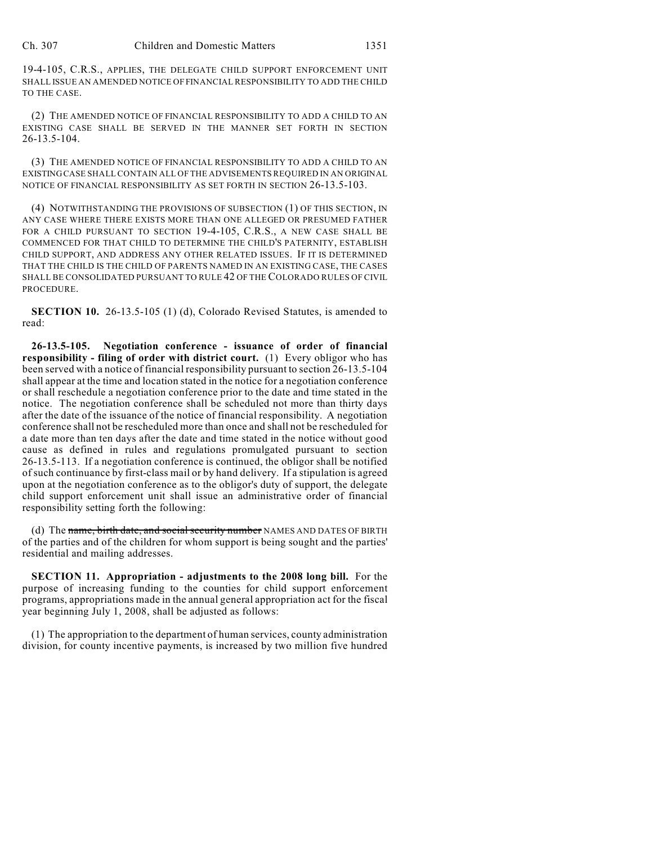19-4-105, C.R.S., APPLIES, THE DELEGATE CHILD SUPPORT ENFORCEMENT UNIT SHALL ISSUE AN AMENDED NOTICE OF FINANCIAL RESPONSIBILITY TO ADD THE CHILD TO THE CASE.

(2) THE AMENDED NOTICE OF FINANCIAL RESPONSIBILITY TO ADD A CHILD TO AN EXISTING CASE SHALL BE SERVED IN THE MANNER SET FORTH IN SECTION 26-13.5-104.

(3) THE AMENDED NOTICE OF FINANCIAL RESPONSIBILITY TO ADD A CHILD TO AN EXISTING CASE SHALL CONTAIN ALL OF THE ADVISEMENTS REQUIRED IN AN ORIGINAL NOTICE OF FINANCIAL RESPONSIBILITY AS SET FORTH IN SECTION 26-13.5-103.

(4) NOTWITHSTANDING THE PROVISIONS OF SUBSECTION (1) OF THIS SECTION, IN ANY CASE WHERE THERE EXISTS MORE THAN ONE ALLEGED OR PRESUMED FATHER FOR A CHILD PURSUANT TO SECTION 19-4-105, C.R.S., A NEW CASE SHALL BE COMMENCED FOR THAT CHILD TO DETERMINE THE CHILD'S PATERNITY, ESTABLISH CHILD SUPPORT, AND ADDRESS ANY OTHER RELATED ISSUES. IF IT IS DETERMINED THAT THE CHILD IS THE CHILD OF PARENTS NAMED IN AN EXISTING CASE, THE CASES SHALL BE CONSOLIDATED PURSUANT TO RULE 42 OF THE COLORADO RULES OF CIVIL PROCEDURE.

**SECTION 10.** 26-13.5-105 (1) (d), Colorado Revised Statutes, is amended to read:

**26-13.5-105. Negotiation conference - issuance of order of financial responsibility - filing of order with district court.** (1) Every obligor who has been served with a notice of financial responsibility pursuant to section 26-13.5-104 shall appear at the time and location stated in the notice for a negotiation conference or shall reschedule a negotiation conference prior to the date and time stated in the notice. The negotiation conference shall be scheduled not more than thirty days after the date of the issuance of the notice of financial responsibility. A negotiation conference shall not be rescheduled more than once and shall not be rescheduled for a date more than ten days after the date and time stated in the notice without good cause as defined in rules and regulations promulgated pursuant to section 26-13.5-113. If a negotiation conference is continued, the obligor shall be notified of such continuance by first-class mail or by hand delivery. If a stipulation is agreed upon at the negotiation conference as to the obligor's duty of support, the delegate child support enforcement unit shall issue an administrative order of financial responsibility setting forth the following:

(d) The name, birth date, and social security number NAMES AND DATES OF BIRTH of the parties and of the children for whom support is being sought and the parties' residential and mailing addresses.

**SECTION 11. Appropriation - adjustments to the 2008 long bill.** For the purpose of increasing funding to the counties for child support enforcement programs, appropriations made in the annual general appropriation act for the fiscal year beginning July 1, 2008, shall be adjusted as follows:

(1) The appropriation to the department of human services, county administration division, for county incentive payments, is increased by two million five hundred